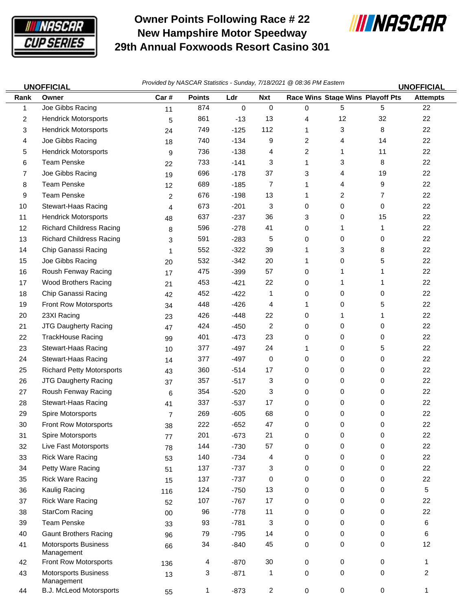

 $\equiv$ 

## **Owner Points Following Race # 22 New Hampshire Motor Speedway 29th Annual Foxwoods Resort Casino 301**



| <b>UNOFFICIAL</b> |                                           | Provided by NASCAR Statistics - Sunday, 7/18/2021 @ 08:36 PM Eastern |               |        |                         |   |                                  | <b>UNOFFICIAL</b> |                 |
|-------------------|-------------------------------------------|----------------------------------------------------------------------|---------------|--------|-------------------------|---|----------------------------------|-------------------|-----------------|
| Rank              | Owner                                     | Car#                                                                 | <b>Points</b> | Ldr    | <b>Nxt</b>              |   | Race Wins Stage Wins Playoff Pts |                   | <b>Attempts</b> |
| 1                 | Joe Gibbs Racing                          | 11                                                                   | 874           | 0      | 0                       | 0 | 5                                | 5                 | 22              |
| 2                 | <b>Hendrick Motorsports</b>               | 5                                                                    | 861           | $-13$  | 13                      | 4 | 12                               | 32                | 22              |
| 3                 | <b>Hendrick Motorsports</b>               | 24                                                                   | 749           | $-125$ | 112                     | 1 | 3                                | 8                 | 22              |
| 4                 | Joe Gibbs Racing                          | 18                                                                   | 740           | $-134$ | 9                       | 2 | 4                                | 14                | 22              |
| 5                 | <b>Hendrick Motorsports</b>               | 9                                                                    | 736           | $-138$ | 4                       | 2 | 1                                | 11                | 22              |
| 6                 | Team Penske                               | 22                                                                   | 733           | $-141$ | 3                       | 1 | 3                                | 8                 | 22              |
| 7                 | Joe Gibbs Racing                          | 19                                                                   | 696           | $-178$ | 37                      | 3 | 4                                | 19                | 22              |
| 8                 | <b>Team Penske</b>                        | 12                                                                   | 689           | $-185$ | 7                       | 1 | 4                                | 9                 | 22              |
| 9                 | <b>Team Penske</b>                        | 2                                                                    | 676           | $-198$ | 13                      | 1 | 2                                | 7                 | 22              |
| 10                | Stewart-Haas Racing                       | 4                                                                    | 673           | $-201$ | 3                       | 0 | 0                                | 0                 | 22              |
| 11                | <b>Hendrick Motorsports</b>               | 48                                                                   | 637           | $-237$ | 36                      | 3 | 0                                | 15                | 22              |
| 12                | <b>Richard Childress Racing</b>           | 8                                                                    | 596           | $-278$ | 41                      | 0 | 1                                | 1                 | 22              |
| 13                | <b>Richard Childress Racing</b>           | 3                                                                    | 591           | $-283$ | 5                       | 0 | 0                                | 0                 | 22              |
| 14                | Chip Ganassi Racing                       | 1                                                                    | 552           | $-322$ | 39                      | 1 | 3                                | 8                 | 22              |
| 15                | Joe Gibbs Racing                          | 20                                                                   | 532           | $-342$ | 20                      | 1 | 0                                | 5                 | 22              |
| 16                | Roush Fenway Racing                       | 17                                                                   | 475           | $-399$ | 57                      | 0 | 1                                | 1                 | 22              |
| 17                | Wood Brothers Racing                      | 21                                                                   | 453           | $-421$ | 22                      | 0 | 1                                | 1                 | 22              |
| 18                | Chip Ganassi Racing                       | 42                                                                   | 452           | $-422$ | 1                       | 0 | 0                                | 0                 | 22              |
| 19                | Front Row Motorsports                     | 34                                                                   | 448           | $-426$ | 4                       | 1 | 0                                | 5                 | 22              |
| 20                | 23XI Racing                               | 23                                                                   | 426           | $-448$ | 22                      | 0 | 1                                | 1                 | 22              |
| 21                | JTG Daugherty Racing                      | 47                                                                   | 424           | $-450$ | 2                       | 0 | 0                                | 0                 | 22              |
| 22                | TrackHouse Racing                         | 99                                                                   | 401           | $-473$ | 23                      | 0 | 0                                | 0                 | 22              |
| 23                | Stewart-Haas Racing                       | 10                                                                   | 377           | $-497$ | 24                      | 1 | 0                                | 5                 | 22              |
| 24                | Stewart-Haas Racing                       | 14                                                                   | 377           | $-497$ | 0                       | 0 | 0                                | 0                 | 22              |
| 25                | <b>Richard Petty Motorsports</b>          | 43                                                                   | 360           | $-514$ | 17                      | 0 | 0                                | 0                 | 22              |
| 26                | JTG Daugherty Racing                      | 37                                                                   | 357           | $-517$ | 3                       | 0 | 0                                | 0                 | 22              |
| 27                | Roush Fenway Racing                       | 6                                                                    | 354           | $-520$ | 3                       | 0 | 0                                | 0                 | 22              |
| 28                | Stewart-Haas Racing                       | 41                                                                   | 337           | $-537$ | 17                      | 0 | 0                                | 0                 | 22              |
| 29                | Spire Motorsports                         | $\overline{7}$                                                       | 269           | $-605$ | 68                      | 0 | 0                                | 0                 | 22              |
| 30                | Front Row Motorsports                     | 38                                                                   | 222           | $-652$ | 47                      | 0 | 0                                | 0                 | 22              |
| 31                | Spire Motorsports                         | 77                                                                   | 201           | $-673$ | 21                      | 0 | 0                                | 0                 | 22              |
| 32                | Live Fast Motorsports                     | 78                                                                   | 144           | $-730$ | 57                      | 0 | 0                                | 0                 | 22              |
| 33                | <b>Rick Ware Racing</b>                   | 53                                                                   | 140           | $-734$ | 4                       | 0 | 0                                | 0                 | 22              |
| 34                | Petty Ware Racing                         | 51                                                                   | 137           | $-737$ | 3                       | 0 | 0                                | 0                 | 22              |
| 35                | <b>Rick Ware Racing</b>                   | 15                                                                   | 137           | $-737$ | 0                       | 0 | 0                                | 0                 | 22              |
| 36                | Kaulig Racing                             | 116                                                                  | 124           | $-750$ | 13                      | 0 | 0                                | 0                 | 5               |
| 37                | <b>Rick Ware Racing</b>                   | 52                                                                   | 107           | $-767$ | 17                      | 0 | 0                                | 0                 | 22              |
| 38                | <b>StarCom Racing</b>                     | 00                                                                   | 96            | $-778$ | 11                      | 0 | 0                                | 0                 | 22              |
| 39                | <b>Team Penske</b>                        | 33                                                                   | 93            | $-781$ | 3                       | 0 | 0                                | 0                 | 6               |
| 40                | <b>Gaunt Brothers Racing</b>              | 96                                                                   | 79            | $-795$ | 14                      | 0 | 0                                | 0                 | 6               |
| 41                | <b>Motorsports Business</b><br>Management | 66                                                                   | 34            | $-840$ | 45                      | 0 | 0                                | 0                 | 12              |
| 42                | Front Row Motorsports                     | 136                                                                  | 4             | $-870$ | 30                      | 0 | 0                                | 0                 | 1               |
| 43                | <b>Motorsports Business</b><br>Management | 13                                                                   | 3             | $-871$ | 1                       | 0 | 0                                | 0                 | $\overline{c}$  |
| 44                | B.J. McLeod Motorsports                   | 55                                                                   | 1             | $-873$ | $\overline{\mathbf{c}}$ | 0 | 0                                | $\mathbf 0$       | 1               |